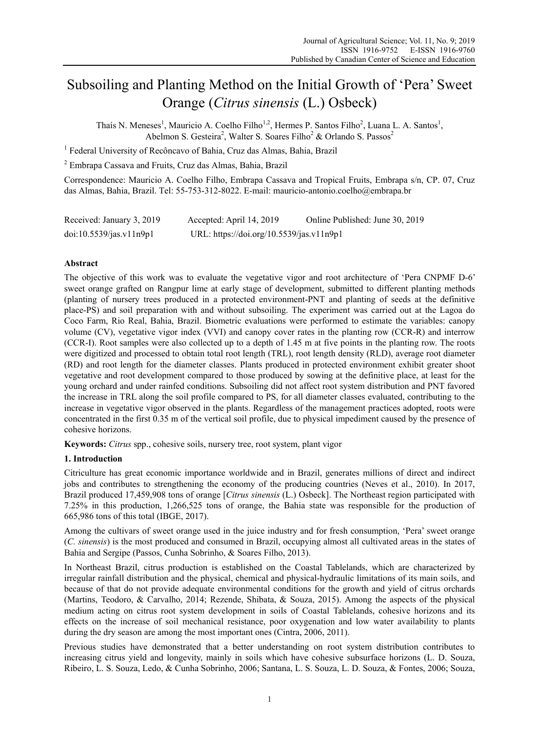# Subsoiling and Planting Method on the Initial Growth of 'Pera' Sweet Orange (*Citrus sinensis* (L.) Osbeck)

Thaís N. Meneses<sup>1</sup>, Mauricio A. Coelho Filho<sup>1,2</sup>, Hermes P. Santos Filho<sup>2</sup>, Luana L. A. Santos<sup>1</sup>, Abelmon S. Gesteira<sup>2</sup>, Walter S. Soares Filho<sup>2</sup> & Orlando S. Passos<sup>2</sup>

<sup>1</sup> Federal University of Recôncavo of Bahia, Cruz das Almas, Bahia, Brazil

2 Embrapa Cassava and Fruits, Cruz das Almas, Bahia, Brazil

Correspondence: Mauricio A. Coelho Filho, Embrapa Cassava and Tropical Fruits, Embrapa s/n, CP. 07, Cruz das Almas, Bahia, Brazil. Tel: 55-753-312-8022. E-mail: mauricio-antonio.coelho@embrapa.br

| Received: January 3, 2019 | Accepted: April 14, 2019                 | Online Published: June 30, 2019 |
|---------------------------|------------------------------------------|---------------------------------|
| doi:10.5539/jas.v11n9p1   | URL: https://doi.org/10.5539/jas.v11n9p1 |                                 |

# **Abstract**

The objective of this work was to evaluate the vegetative vigor and root architecture of 'Pera CNPMF D-6' sweet orange grafted on Rangpur lime at early stage of development, submitted to different planting methods (planting of nursery trees produced in a protected environment-PNT and planting of seeds at the definitive place-PS) and soil preparation with and without subsoiling. The experiment was carried out at the Lagoa do Coco Farm, Rio Real, Bahia, Brazil. Biometric evaluations were performed to estimate the variables: canopy volume (CV), vegetative vigor index (VVI) and canopy cover rates in the planting row (CCR-R) and interrow (CCR-I). Root samples were also collected up to a depth of 1.45 m at five points in the planting row. The roots were digitized and processed to obtain total root length (TRL), root length density (RLD), average root diameter (RD) and root length for the diameter classes. Plants produced in protected environment exhibit greater shoot vegetative and root development compared to those produced by sowing at the definitive place, at least for the young orchard and under rainfed conditions. Subsoiling did not affect root system distribution and PNT favored the increase in TRL along the soil profile compared to PS, for all diameter classes evaluated, contributing to the increase in vegetative vigor observed in the plants. Regardless of the management practices adopted, roots were concentrated in the first 0.35 m of the vertical soil profile, due to physical impediment caused by the presence of cohesive horizons.

**Keywords:** *Citrus* spp., cohesive soils, nursery tree, root system, plant vigor

#### **1. Introduction**

Citriculture has great economic importance worldwide and in Brazil, generates millions of direct and indirect jobs and contributes to strengthening the economy of the producing countries (Neves et al., 2010). In 2017, Brazil produced 17,459,908 tons of orange [*Citrus sinensis* (L.) Osbeck]. The Northeast region participated with 7.25% in this production, 1,266,525 tons of orange, the Bahia state was responsible for the production of 665,986 tons of this total (IBGE, 2017).

Among the cultivars of sweet orange used in the juice industry and for fresh consumption, 'Pera' sweet orange (*C. sinensis*) is the most produced and consumed in Brazil, occupying almost all cultivated areas in the states of Bahia and Sergipe (Passos, Cunha Sobrinho, & Soares Filho, 2013).

In Northeast Brazil, citrus production is established on the Coastal Tablelands, which are characterized by irregular rainfall distribution and the physical, chemical and physical-hydraulic limitations of its main soils, and because of that do not provide adequate environmental conditions for the growth and yield of citrus orchards (Martins, Teodoro, & Carvalho, 2014; Rezende, Shibata, & Souza, 2015). Among the aspects of the physical medium acting on citrus root system development in soils of Coastal Tablelands, cohesive horizons and its effects on the increase of soil mechanical resistance, poor oxygenation and low water availability to plants during the dry season are among the most important ones (Cintra, 2006, 2011).

Previous studies have demonstrated that a better understanding on root system distribution contributes to increasing citrus yield and longevity, mainly in soils which have cohesive subsurface horizons (L. D. Souza, Ribeiro, L. S. Souza, Ledo, & Cunha Sobrinho, 2006; Santana, L. S. Souza, L. D. Souza, & Fontes, 2006; Souza,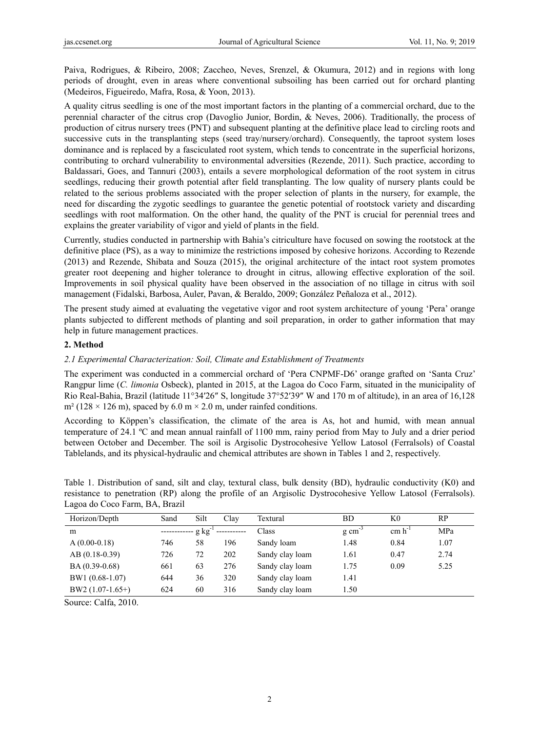Paiva, Rodrigues, & Ribeiro, 2008; Zaccheo, Neves, Srenzel, & Okumura, 2012) and in regions with long periods of drought, even in areas where conventional subsoiling has been carried out for orchard planting (Medeiros, Figueiredo, Mafra, Rosa, & Yoon, 2013).

A quality citrus seedling is one of the most important factors in the planting of a commercial orchard, due to the perennial character of the citrus crop (Davoglio Junior, Bordin, & Neves, 2006). Traditionally, the process of production of citrus nursery trees (PNT) and subsequent planting at the definitive place lead to circling roots and successive cuts in the transplanting steps (seed tray/nursery/orchard). Consequently, the taproot system loses dominance and is replaced by a fasciculated root system, which tends to concentrate in the superficial horizons, contributing to orchard vulnerability to environmental adversities (Rezende, 2011). Such practice, according to Baldassari, Goes, and Tannuri (2003), entails a severe morphological deformation of the root system in citrus seedlings, reducing their growth potential after field transplanting. The low quality of nursery plants could be related to the serious problems associated with the proper selection of plants in the nursery, for example, the need for discarding the zygotic seedlings to guarantee the genetic potential of rootstock variety and discarding seedlings with root malformation. On the other hand, the quality of the PNT is crucial for perennial trees and explains the greater variability of vigor and yield of plants in the field.

Currently, studies conducted in partnership with Bahia's citriculture have focused on sowing the rootstock at the definitive place (PS), as a way to minimize the restrictions imposed by cohesive horizons. According to Rezende (2013) and Rezende, Shibata and Souza (2015), the original architecture of the intact root system promotes greater root deepening and higher tolerance to drought in citrus, allowing effective exploration of the soil. Improvements in soil physical quality have been observed in the association of no tillage in citrus with soil management (Fidalski, Barbosa, Auler, Pavan, & Beraldo, 2009; González Peñaloza et al., 2012).

The present study aimed at evaluating the vegetative vigor and root system architecture of young 'Pera' orange plants subjected to different methods of planting and soil preparation, in order to gather information that may help in future management practices.

#### **2. Method**

# *2.1 Experimental Characterization: Soil, Climate and Establishment of Treatments*

The experiment was conducted in a commercial orchard of 'Pera CNPMF-D6' orange grafted on 'Santa Cruz' Rangpur lime (*C. limonia* Osbeck), planted in 2015, at the Lagoa do Coco Farm, situated in the municipality of Rio Real-Bahia, Brazil (latitude 11°34′26″ S, longitude 37°52′39″ W and 170 m of altitude), in an area of 16,128  $m<sup>2</sup>$  (128 × 126 m), spaced by 6.0 m × 2.0 m, under rainfed conditions.

According to Köppen's classification, the climate of the area is As, hot and humid, with mean annual temperature of 24.1 ºC and mean annual rainfall of 1100 mm, rainy period from May to July and a drier period between October and December. The soil is Argisolic Dystrocohesive Yellow Latosol (Ferralsols) of Coastal Tablelands, and its physical-hydraulic and chemical attributes are shown in Tables 1 and 2, respectively.

| Horizon/Depth     | Sand | Silt        | Clav | Textural        | BD                  | K0          | RP   |
|-------------------|------|-------------|------|-----------------|---------------------|-------------|------|
| m                 |      | $g kg^{-1}$ |      | Class           | $g \text{ cm}^{-3}$ | $cm h^{-1}$ | MPa  |
| $A(0.00-0.18)$    | 746  | 58          | 196  | Sandy loam      | 1.48                | 0.84        | 1.07 |
| $AB(0.18-0.39)$   | 726  | 72          | 202  | Sandy clay loam | 1.61                | 0.47        | 2.74 |
| BA (0.39-0.68)    | 661  | 63          | 276  | Sandy clay loam | 1.75                | 0.09        | 5.25 |
| BW1 (0.68-1.07)   | 644  | 36          | 320  | Sandy clay loam | 1.41                |             |      |
| $BW2(1.07-1.65+)$ | 624  | 60          | 316  | Sandy clay loam | 1.50                |             |      |

Table 1. Distribution of sand, silt and clay, textural class, bulk density (BD), hydraulic conductivity (K0) and resistance to penetration (RP) along the profile of an Argisolic Dystrocohesive Yellow Latosol (Ferralsols). Lagoa do Coco Farm, BA, Brazil

Source: Calfa, 2010.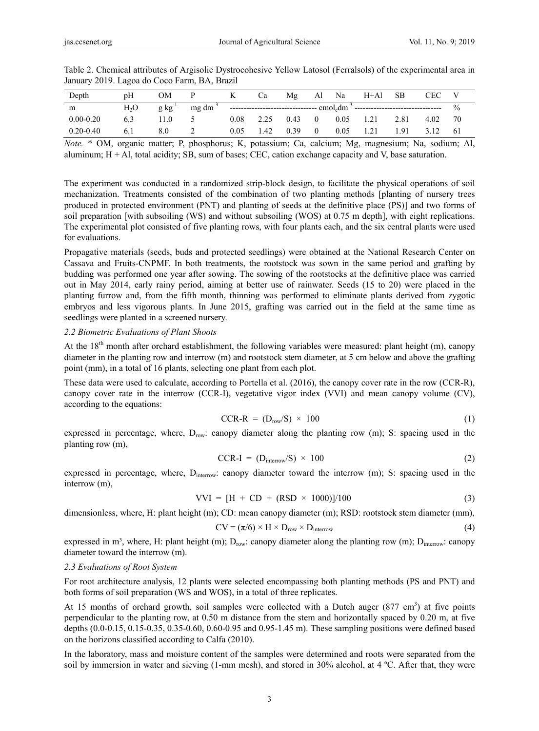| Depth         | pH               | ЭM                 |                 |      | Ċа   | Mg   | Al             | Na   | $H+A1$ | <b>SB</b> | <b>CEC</b> |               |
|---------------|------------------|--------------------|-----------------|------|------|------|----------------|------|--------|-----------|------------|---------------|
| m             | H <sub>2</sub> O | $g \text{kg}^{-1}$ | $mg \, dm^{-3}$ |      |      |      |                |      |        |           |            | $\frac{0}{0}$ |
| $0.00 - 0.20$ | 6.3              | 1.0 <sub>1</sub>   |                 | 0.08 | 2.25 | 0.43 | $\overline{0}$ | 0.05 | 1.21   | 2.81      | 4.02       | 70            |
| $0.20 - 0.40$ | 6.1              | 8.0                |                 | 0.05 | 1.42 | 0.39 | $\overline{0}$ | 0.05 | 1.21   | 1.91      | 3.12       | -61           |

Table 2. Chemical attributes of Argisolic Dystrocohesive Yellow Latosol (Ferralsols) of the experimental area in January 2019. Lagoa do Coco Farm, BA, Brazil

*Note.* \* OM, organic matter; P, phosphorus; K, potassium; Ca, calcium; Mg, magnesium; Na, sodium; Al, aluminum; H + Al, total acidity; SB, sum of bases; CEC, cation exchange capacity and V, base saturation.

The experiment was conducted in a randomized strip-block design, to facilitate the physical operations of soil mechanization. Treatments consisted of the combination of two planting methods [planting of nursery trees produced in protected environment (PNT) and planting of seeds at the definitive place (PS)] and two forms of soil preparation [with subsoiling (WS) and without subsoiling (WOS) at 0.75 m depth], with eight replications. The experimental plot consisted of five planting rows, with four plants each, and the six central plants were used for evaluations.

Propagative materials (seeds, buds and protected seedlings) were obtained at the National Research Center on Cassava and Fruits-CNPMF. In both treatments, the rootstock was sown in the same period and grafting by budding was performed one year after sowing. The sowing of the rootstocks at the definitive place was carried out in May 2014, early rainy period, aiming at better use of rainwater. Seeds (15 to 20) were placed in the planting furrow and, from the fifth month, thinning was performed to eliminate plants derived from zygotic embryos and less vigorous plants. In June 2015, grafting was carried out in the field at the same time as seedlings were planted in a screened nursery.

#### *2.2 Biometric Evaluations of Plant Shoots*

At the  $18<sup>th</sup>$  month after orchard establishment, the following variables were measured: plant height (m), canopy diameter in the planting row and interrow (m) and rootstock stem diameter, at 5 cm below and above the grafting point (mm), in a total of 16 plants, selecting one plant from each plot.

These data were used to calculate, according to Portella et al. (2016), the canopy cover rate in the row (CCR-R), canopy cover rate in the interrow (CCR-I), vegetative vigor index (VVI) and mean canopy volume (CV), according to the equations:

$$
CCR-R = (Drow/S) \times 100
$$
 (1)

expressed in percentage, where, Drow: canopy diameter along the planting row (m); S: spacing used in the planting row (m),

$$
CCR-I = (D_{interror}/S) \times 100 \tag{2}
$$

expressed in percentage, where, D<sub>interrow</sub>: canopy diameter toward the interrow (m); S: spacing used in the interrow (m),

$$
VVI = [H + CD + (RSD \times 1000)]/100
$$
 (3)

dimensionless, where, H: plant height (m); CD: mean canopy diameter (m); RSD: rootstock stem diameter (mm),

$$
CV = (\pi/6) \times H \times D_{row} \times D_{interrow}
$$
 (4)

expressed in m<sup>3</sup>, where, H: plant height (m);  $D_{\text{row}}$ : canopy diameter along the planting row (m);  $D_{\text{interrow}}$ : canopy diameter toward the interrow (m).

#### *2.3 Evaluations of Root System*

For root architecture analysis, 12 plants were selected encompassing both planting methods (PS and PNT) and both forms of soil preparation (WS and WOS), in a total of three replicates.

At 15 months of orchard growth, soil samples were collected with a Dutch auger  $(877 \text{ cm}^3)$  at five points perpendicular to the planting row, at 0.50 m distance from the stem and horizontally spaced by 0.20 m, at five depths (0.0-0.15, 0.15-0.35, 0.35-0.60, 0.60-0.95 and 0.95-1.45 m). These sampling positions were defined based on the horizons classified according to Calfa (2010).

In the laboratory, mass and moisture content of the samples were determined and roots were separated from the soil by immersion in water and sieving (1-mm mesh), and stored in 30% alcohol, at 4 ºC. After that, they were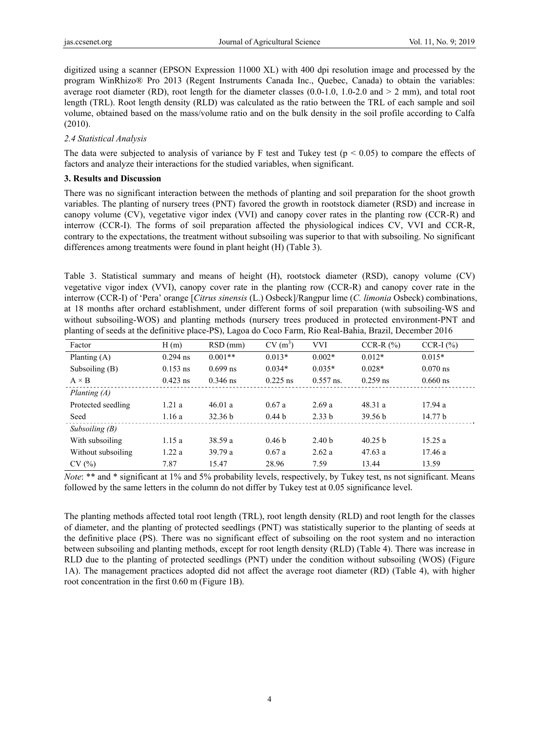digitized using a scanner (EPSON Expression 11000 XL) with 400 dpi resolution image and processed by the program WinRhizo® Pro 2013 (Regent Instruments Canada Inc., Quebec, Canada) to obtain the variables: average root diameter (RD), root length for the diameter classes  $(0.0-1.0, 1.0-2.0$  and  $> 2$  mm), and total root length (TRL). Root length density (RLD) was calculated as the ratio between the TRL of each sample and soil volume, obtained based on the mass/volume ratio and on the bulk density in the soil profile according to Calfa (2010).

# *2.4 Statistical Analysis*

The data were subjected to analysis of variance by F test and Tukey test ( $p \le 0.05$ ) to compare the effects of factors and analyze their interactions for the studied variables, when significant.

# **3. Results and Discussion**

There was no significant interaction between the methods of planting and soil preparation for the shoot growth variables. The planting of nursery trees (PNT) favored the growth in rootstock diameter (RSD) and increase in canopy volume (CV), vegetative vigor index (VVI) and canopy cover rates in the planting row (CCR-R) and interrow (CCR-I). The forms of soil preparation affected the physiological indices CV, VVI and CCR-R, contrary to the expectations, the treatment without subsoiling was superior to that with subsoiling. No significant differences among treatments were found in plant height (H) (Table 3).

Table 3. Statistical summary and means of height (H), rootstock diameter (RSD), canopy volume (CV) vegetative vigor index (VVI), canopy cover rate in the planting row (CCR-R) and canopy cover rate in the interrow (CCR-I) of 'Pera' orange [*Citrus sinensis* (L.) Osbeck]/Rangpur lime (*C. limonia* Osbeck) combinations, at 18 months after orchard establishment, under different forms of soil preparation (with subsoiling-WS and without subsoiling-WOS) and planting methods (nursery trees produced in protected environment-PNT and planting of seeds at the definitive place-PS), Lagoa do Coco Farm, Rio Real-Bahia, Brazil, December 2016

| Factor             | H(m)       | $RSD$ (mm) | $CV(m^3)$         | <b>VVI</b>        | $CCR-R$ $(\%)$     | $CCR-I (%)$ |
|--------------------|------------|------------|-------------------|-------------------|--------------------|-------------|
| Planting $(A)$     | $0.294$ ns | $0.001**$  | $0.013*$          | $0.002*$          | $0.012*$           | $0.015*$    |
| Subsoiling $(B)$   | $0.153$ ns | $0.699$ ns | $0.034*$          | $0.035*$          | $0.028*$           | $0.070$ ns  |
| $A \times B$       | $0.423$ ns | $0.346$ ns | $0.225$ ns        | $0.557$ ns.       | $0.259$ ns         | $0.660$ ns  |
| Planting $(A)$     |            |            |                   |                   |                    |             |
| Protected seedling | 1.21a      | 46.01 a    | 0.67a             | 2.69a             | 48.31a             | 17.94a      |
| Seed               | 1.16a      | 32.36 b    | 0.44 <sub>b</sub> | 2.33h             | 39.56 <sub>b</sub> | 14.77 b     |
| Subsoiling $(B)$   |            |            |                   |                   |                    |             |
| With subsoiling    | 1.15a      | 38.59a     | 0.46 <sub>b</sub> | 2.40 <sub>b</sub> | 40.25 b            | 15.25a      |
| Without subsoiling | 1.22a      | 39.79a     | 0.67a             | 2.62a             | 47.63a             | 17.46a      |
| CV(%)              | 7.87       | 15.47      | 28.96             | 7.59              | 13.44              | 13.59       |

*Note*: \*\* and \* significant at 1% and 5% probability levels, respectively, by Tukey test, ns not significant. Means followed by the same letters in the column do not differ by Tukey test at 0.05 significance level.

The planting methods affected total root length (TRL), root length density (RLD) and root length for the classes of diameter, and the planting of protected seedlings (PNT) was statistically superior to the planting of seeds at the definitive place (PS). There was no significant effect of subsoiling on the root system and no interaction between subsoiling and planting methods, except for root length density (RLD) (Table 4). There was increase in RLD due to the planting of protected seedlings (PNT) under the condition without subsoiling (WOS) (Figure 1A). The management practices adopted did not affect the average root diameter (RD) (Table 4), with higher root concentration in the first 0.60 m (Figure 1B).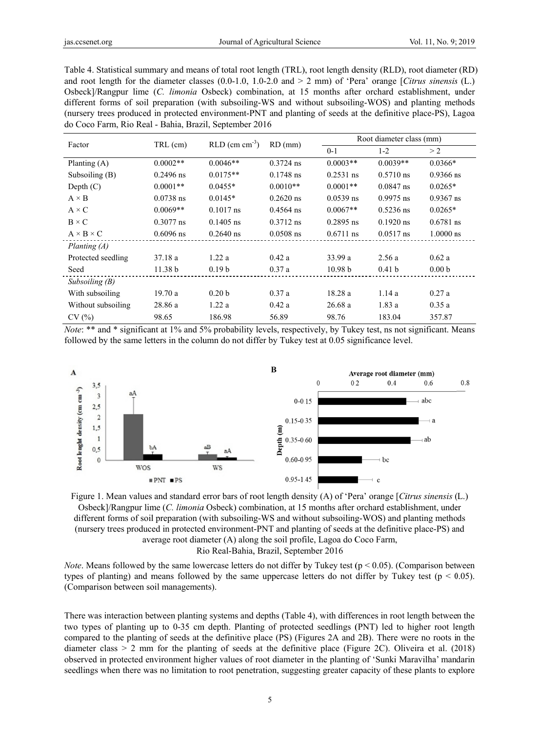Table 4. Statistical summary and means of total root length (TRL), root length density (RLD), root diameter (RD) and root length for the diameter classes  $(0.0-1.0, 1.0-2.0, 1.0-2.0)$  and  $> 2$  mm) of 'Pera' orange [Citrus sinensis (L.) Osbeck]/Rangpur lime (C. limonia Osbeck) combination, at 15 months after orchard establishment, under different forms of soil preparation (with subsoiling-WS and without subsoiling-WOS) and planting methods (nursery trees produced in protected environment-PNT and planting of seeds at the definitive place-PS), Lagoa do Coco Farm, Rio Real - Bahia, Brazil, September 2016

| Factor                | TRL (cm)    | $RLD$ (cm cm <sup>-3</sup> ) | $RD$ (mm)   | Root diameter class (mm) |                     |                   |  |
|-----------------------|-------------|------------------------------|-------------|--------------------------|---------------------|-------------------|--|
|                       |             |                              |             | $0 - 1$                  | $1 - 2$             | > 2               |  |
| Planting $(A)$        | $0.0002**$  | $0.0046**$                   | $0.3724$ ns | $0.0003**$               | $0.0039**$          | $0.0366*$         |  |
| Subsoiling $(B)$      | $0.2496$ ns | $0.0175**$                   | $0.1748$ ns | $0.2531$ ns              | $0.5710 \text{ ns}$ | $0.9366$ ns       |  |
| Depth $(C)$           | $0.0001**$  | $0.0455*$                    | $0.0010**$  | $0.0001**$               | $0.0847$ ns         | $0.0265*$         |  |
| $A \times B$          | $0.0738$ ns | $0.0145*$                    | $0.2620$ ns | $0.0539$ ns              | $0.9975$ ns         | $0.9367$ ns       |  |
| $A \times C$          | $0.0069**$  | $0.1017$ ns                  | $0.4564$ ns | $0.0067**$               | $0.5236$ ns         | $0.0265*$         |  |
| $B \times C$          | $0.3077$ ns | $0.1405$ ns                  | $0.3712$ ns | $0.2895$ ns              | $0.1920$ ns         | $0.6781$ ns       |  |
| $A \times B \times C$ | $0.6096$ ns | $0.2640$ ns                  | $0.0508$ ns | $0.6711$ ns              | $0.0517$ ns         | $1.0000$ ns       |  |
| Planting $(A)$        |             |                              |             |                          |                     |                   |  |
| Protected seedling    | 37.18a      | 1.22a                        | 0.42a       | 33.99a                   | 2.56a               | 0.62a             |  |
| Seed                  | 11.38 b     | 0.19 <sub>b</sub>            | 0.37a       | 10.98 <sub>b</sub>       | 0.41 <sub>b</sub>   | 0.00 <sub>b</sub> |  |
| Subsoiling $(B)$      |             |                              |             |                          |                     |                   |  |
| With subsoiling       | 19.70a      | 0.20 <sub>b</sub>            | 0.37a       | 18.28a                   | 1.14a               | 0.27a             |  |
| Without subsoiling    | 28.86 a     | 1.22a                        | 0.42a       | 26.68a                   | 1.83a               | 0.35a             |  |
| CV(%)                 | 98.65       | 186.98                       | 56.89       | 98.76                    | 183.04              | 357.87            |  |

*Note*: \*\* and \* significant at 1% and 5% probability levels, respectively, by Tukey test, ns not significant. Means followed by the same letters in the column do not differ by Tukey test at 0.05 significance level.



Figure 1. Mean values and standard error bars of root length density (A) of 'Pera' orange [Citrus sinensis (L.) Osbeck]/Rangpur lime (C. limonia Osbeck) combination, at 15 months after orchard establishment, under different forms of soil preparation (with subsoiling-WS and without subsoiling-WOS) and planting methods (nursery trees produced in protected environment-PNT and planting of seeds at the definitive place-PS) and average root diameter (A) along the soil profile, Lagoa do Coco Farm, Rio Real-Bahia, Brazil, September 2016

*Note*. Means followed by the same lowercase letters do not differ by Tukey test ( $p < 0.05$ ). (Comparison between types of planting) and means followed by the same uppercase letters do not differ by Tukey test ( $p < 0.05$ ). (Comparison between soil managements).

There was interaction between planting systems and depths (Table 4), with differences in root length between the two types of planting up to 0-35 cm depth. Planting of protected seedlings (PNT) led to higher root length compared to the planting of seeds at the definitive place (PS) (Figures 2A and 2B). There were no roots in the diameter class  $> 2$  mm for the planting of seeds at the definitive place (Figure 2C). Oliveira et al. (2018) observed in protected environment higher values of root diameter in the planting of 'Sunki Maravilha' mandarin seedlings when there was no limitation to root penetration, suggesting greater capacity of these plants to explore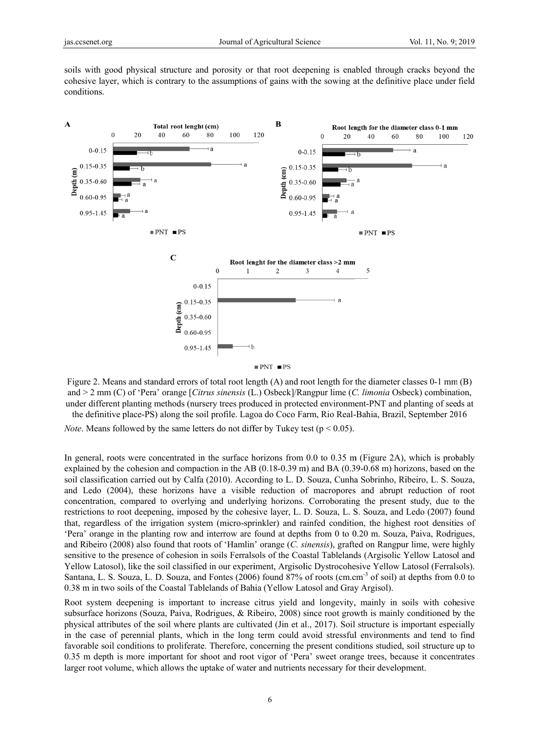soils with good physical structure and porosity or that root deepening is enabled through cracks beyond the cohesive layer, which is contrary to the assumptions of gains with the sowing at the definitive place under field conditions.



Figure 2. Means and standard errors of total root length (A) and root length for the diameter classes 0-1 mm (B) and  $>$  2 mm (C) of 'Pera' orange [Citrus sinensis (L.) Osbeck]/Rangpur lime (C. limonia Osbeck) combination, under different planting methods (nursery trees produced in protected environment-PNT and planting of seeds at the definitive place-PS) along the soil profile. Lagoa do Coco Farm, Rio Real-Bahia, Brazil, September 2016

*Note.* Means followed by the same letters do not differ by Tukey test ( $p < 0.05$ ).

In general, roots were concentrated in the surface horizons from 0.0 to 0.35 m (Figure 2A), which is probably explained by the cohesion and compaction in the AB  $(0.18-0.39 \text{ m})$  and BA  $(0.39-0.68 \text{ m})$  horizons, based on the soil classification carried out by Calfa (2010). According to L. D. Souza, Cunha Sobrinho, Ribeiro, L. S. Souza, and Ledo (2004), these horizons have a visible reduction of macropores and abrupt reduction of root concentration, compared to overlying and underlying horizons. Corroborating the present study, due to the restrictions to root deepening, imposed by the cohesive layer, L. D. Souza, L. S. Souza, and Ledo (2007) found that, regardless of the irrigation system (micro-sprinkler) and rainfed condition, the highest root densities of 'Pera' orange in the planting row and interrow are found at depths from 0 to 0.20 m. Souza, Paiva, Rodrigues, and Ribeiro (2008) also found that roots of 'Hamlin' orange (C. sinensis), grafted on Rangpur lime, were highly sensitive to the presence of cohesion in soils Ferralsols of the Coastal Tablelands (Argisolic Yellow Latosol and Yellow Latosol), like the soil classified in our experiment, Argisolic Dystrocohesive Yellow Latosol (Ferralsols). Santana, L. S. Souza, L. D. Souza, and Fontes (2006) found 87% of roots (cm.cm<sup>-3</sup> of soil) at depths from 0.0 to 0.38 m in two soils of the Coastal Tablelands of Bahia (Yellow Latosol and Gray Argisol).

Root system deepening is important to increase citrus yield and longevity, mainly in soils with cohesive subsurface horizons (Souza, Paiva, Rodrigues, & Ribeiro, 2008) since root growth is mainly conditioned by the physical attributes of the soil where plants are cultivated (Jin et al., 2017). Soil structure is important especially in the case of perennial plants, which in the long term could avoid stressful environments and tend to find favorable soil conditions to proliferate. Therefore, concerning the present conditions studied, soil structure up to 0.35 m depth is more important for shoot and root vigor of 'Pera' sweet orange trees, because it concentrates larger root volume, which allows the uptake of water and nutrients necessary for their development.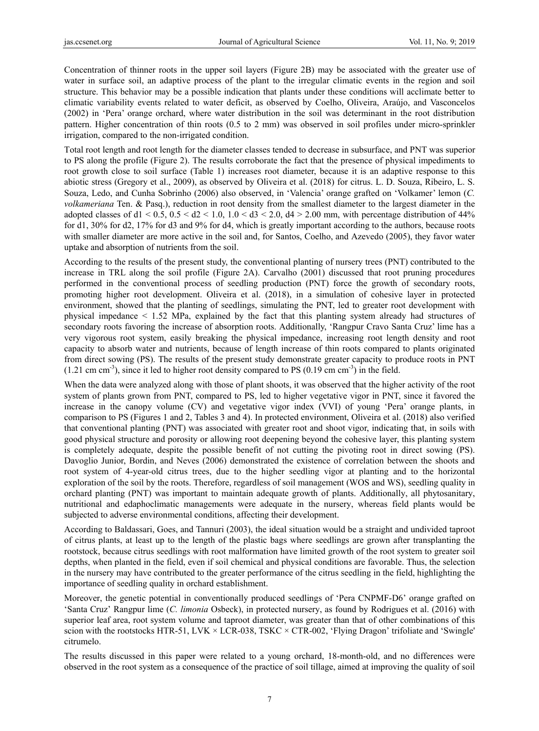Concentration of thinner roots in the upper soil layers (Figure 2B) may be associated with the greater use of water in surface soil, an adaptive process of the plant to the irregular climatic events in the region and soil structure. This behavior may be a possible indication that plants under these conditions will acclimate better to climatic variability events related to water deficit, as observed by Coelho, Oliveira, Araújo, and Vasconcelos (2002) in 'Pera' orange orchard, where water distribution in the soil was determinant in the root distribution pattern. Higher concentration of thin roots (0.5 to 2 mm) was observed in soil profiles under micro-sprinkler irrigation, compared to the non-irrigated condition.

Total root length and root length for the diameter classes tended to decrease in subsurface, and PNT was superior to PS along the profile (Figure 2). The results corroborate the fact that the presence of physical impediments to root growth close to soil surface (Table 1) increases root diameter, because it is an adaptive response to this abiotic stress (Gregory et al., 2009), as observed by Oliveira et al. (2018) for citrus. L. D. Souza, Ribeiro, L. S. Souza, Ledo, and Cunha Sobrinho (2006) also observed, in 'Valencia' orange grafted on 'Volkamer' lemon (*C. volkameriana* Ten. & Pasq.), reduction in root density from the smallest diameter to the largest diameter in the adopted classes of d1 < 0.5,  $0.5 <$  d2 < 1.0,  $1.0 <$  d3 < 2.0, d4 > 2.00 mm, with percentage distribution of 44% for d1, 30% for d2, 17% for d3 and 9% for d4, which is greatly important according to the authors, because roots with smaller diameter are more active in the soil and, for Santos, Coelho, and Azevedo (2005), they favor water uptake and absorption of nutrients from the soil.

According to the results of the present study, the conventional planting of nursery trees (PNT) contributed to the increase in TRL along the soil profile (Figure 2A). Carvalho (2001) discussed that root pruning procedures performed in the conventional process of seedling production (PNT) force the growth of secondary roots, promoting higher root development. Oliveira et al. (2018), in a simulation of cohesive layer in protected environment, showed that the planting of seedlings, simulating the PNT, led to greater root development with physical impedance < 1.52 MPa, explained by the fact that this planting system already had structures of secondary roots favoring the increase of absorption roots. Additionally, 'Rangpur Cravo Santa Cruz' lime has a very vigorous root system, easily breaking the physical impedance, increasing root length density and root capacity to absorb water and nutrients, because of length increase of thin roots compared to plants originated from direct sowing (PS). The results of the present study demonstrate greater capacity to produce roots in PNT  $(1.21 \text{ cm cm}^{-3})$ , since it led to higher root density compared to PS  $(0.19 \text{ cm cm}^{-3})$  in the field.

When the data were analyzed along with those of plant shoots, it was observed that the higher activity of the root system of plants grown from PNT, compared to PS, led to higher vegetative vigor in PNT, since it favored the increase in the canopy volume (CV) and vegetative vigor index (VVI) of young 'Pera' orange plants, in comparison to PS (Figures 1 and 2, Tables 3 and 4). In protected environment, Oliveira et al. (2018) also verified that conventional planting (PNT) was associated with greater root and shoot vigor, indicating that, in soils with good physical structure and porosity or allowing root deepening beyond the cohesive layer, this planting system is completely adequate, despite the possible benefit of not cutting the pivoting root in direct sowing (PS). Davoglio Junior, Bordin, and Neves (2006) demonstrated the existence of correlation between the shoots and root system of 4-year-old citrus trees, due to the higher seedling vigor at planting and to the horizontal exploration of the soil by the roots. Therefore, regardless of soil management (WOS and WS), seedling quality in orchard planting (PNT) was important to maintain adequate growth of plants. Additionally, all phytosanitary, nutritional and edaphoclimatic managements were adequate in the nursery, whereas field plants would be subjected to adverse environmental conditions, affecting their development.

According to Baldassari, Goes, and Tannuri (2003), the ideal situation would be a straight and undivided taproot of citrus plants, at least up to the length of the plastic bags where seedlings are grown after transplanting the rootstock, because citrus seedlings with root malformation have limited growth of the root system to greater soil depths, when planted in the field, even if soil chemical and physical conditions are favorable. Thus, the selection in the nursery may have contributed to the greater performance of the citrus seedling in the field, highlighting the importance of seedling quality in orchard establishment.

Moreover, the genetic potential in conventionally produced seedlings of 'Pera CNPMF-D6' orange grafted on 'Santa Cruz' Rangpur lime (*C. limonia* Osbeck), in protected nursery, as found by Rodrigues et al. (2016) with superior leaf area, root system volume and taproot diameter, was greater than that of other combinations of this scion with the rootstocks HTR-51, LVK  $\times$  LCR-038, TSKC  $\times$  CTR-002, 'Flying Dragon' trifoliate and 'Swingle' citrumelo.

The results discussed in this paper were related to a young orchard, 18-month-old, and no differences were observed in the root system as a consequence of the practice of soil tillage, aimed at improving the quality of soil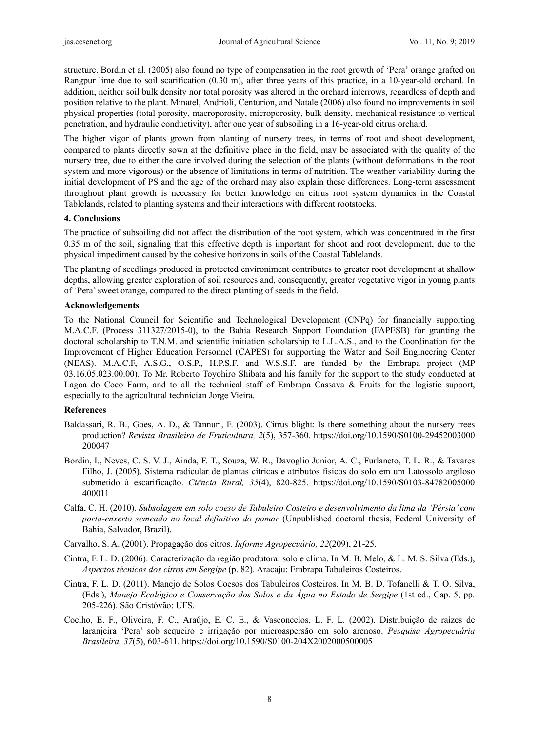structure. Bordin et al. (2005) also found no type of compensation in the root growth of 'Pera' orange grafted on Rangpur lime due to soil scarification (0.30 m), after three years of this practice, in a 10-year-old orchard. In addition, neither soil bulk density nor total porosity was altered in the orchard interrows, regardless of depth and position relative to the plant. Minatel, Andrioli, Centurion, and Natale (2006) also found no improvements in soil physical properties (total porosity, macroporosity, microporosity, bulk density, mechanical resistance to vertical penetration, and hydraulic conductivity), after one year of subsoiling in a 16-year-old citrus orchard.

The higher vigor of plants grown from planting of nursery trees, in terms of root and shoot development, compared to plants directly sown at the definitive place in the field, may be associated with the quality of the nursery tree, due to either the care involved during the selection of the plants (without deformations in the root system and more vigorous) or the absence of limitations in terms of nutrition. The weather variability during the initial development of PS and the age of the orchard may also explain these differences. Long-term assessment throughout plant growth is necessary for better knowledge on citrus root system dynamics in the Coastal Tablelands, related to planting systems and their interactions with different rootstocks.

#### **4. Conclusions**

The practice of subsoiling did not affect the distribution of the root system, which was concentrated in the first 0.35 m of the soil, signaling that this effective depth is important for shoot and root development, due to the physical impediment caused by the cohesive horizons in soils of the Coastal Tablelands.

The planting of seedlings produced in protected environiment contributes to greater root development at shallow depths, allowing greater exploration of soil resources and, consequently, greater vegetative vigor in young plants of 'Pera' sweet orange, compared to the direct planting of seeds in the field.

# **Acknowledgements**

To the National Council for Scientific and Technological Development (CNPq) for financially supporting M.A.C.F. (Process 311327/2015-0), to the Bahia Research Support Foundation (FAPESB) for granting the doctoral scholarship to T.N.M. and scientific initiation scholarship to L.L.A.S., and to the Coordination for the Improvement of Higher Education Personnel (CAPES) for supporting the Water and Soil Engineering Center (NEAS). M.A.C.F, A.S.G., O.S.P., H.P.S.F. and W.S.S.F. are funded by the Embrapa project (MP 03.16.05.023.00.00). To Mr. Roberto Toyohiro Shibata and his family for the support to the study conducted at Lagoa do Coco Farm, and to all the technical staff of Embrapa Cassava & Fruits for the logistic support, especially to the agricultural technician Jorge Vieira.

# **References**

- Baldassari, R. B., Goes, A. D., & Tannuri, F. (2003). Citrus blight: Is there something about the nursery trees production? *Revista Brasileira de Fruticultura, 2*(5), 357-360. https://doi.org/10.1590/S0100-29452003000 200047
- Bordin, I., Neves, C. S. V. J., Ainda, F. T., Souza, W. R., Davoglio Junior, A. C., Furlaneto, T. L. R., & Tavares Filho, J. (2005). Sistema radicular de plantas cítricas e atributos físicos do solo em um Latossolo argiloso submetido à escarificação. *Ciência Rural, 35*(4), 820-825. https://doi.org/10.1590/S0103-84782005000 400011
- Calfa, C. H. (2010). *Subsolagem em solo coeso de Tabuleiro Costeiro e desenvolvimento da lima da 'Pérsia' com porta-enxerto semeado no local definitivo do pomar* (Unpublished doctoral thesis, Federal University of Bahia, Salvador, Brazil).
- Carvalho, S. A. (2001). Propagação dos citros. *Informe Agropecuário, 22*(209), 21-25.
- Cintra, F. L. D. (2006). Caracterização da região produtora: solo e clima. In M. B. Melo, & L. M. S. Silva (Eds.), *Aspectos técnicos dos citros em Sergipe* (p. 82). Aracaju: Embrapa Tabuleiros Costeiros.
- Cintra, F. L. D. (2011). Manejo de Solos Coesos dos Tabuleiros Costeiros. In M. B. D. Tofanelli & T. O. Silva, (Eds.), *Manejo Ecológico e Conservação dos Solos e da Água no Estado de Sergipe* (1st ed., Cap. 5, pp. 205-226). São Cristóvão: UFS.
- Coelho, E. F., Oliveira, F. C., Araújo, E. C. E., & Vasconcelos, L. F. L. (2002). Distribuição de raízes de laranjeira 'Pera' sob sequeiro e irrigação por microaspersão em solo arenoso. *Pesquisa Agropecuária Brasileira, 37*(5), 603-611. https://doi.org/10.1590/S0100-204X2002000500005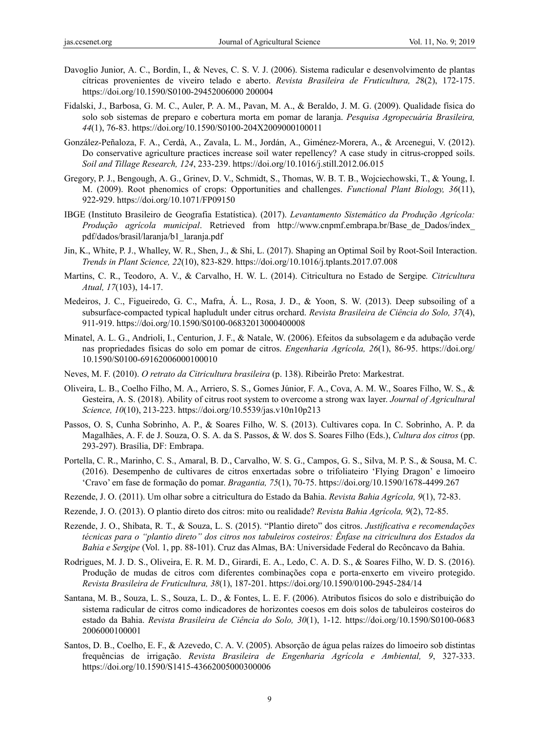- Davoglio Junior, A. C., Bordin, I., & Neves, C. S. V. J. (2006). Sistema radicular e desenvolvimento de plantas cítricas provenientes de viveiro telado e aberto. *Revista Brasileira de Fruticultura, 2*8(2), 172-175. https://doi.org/10.1590/S0100-29452006000 200004
- Fidalski, J., Barbosa, G. M. C., Auler, P. A. M., Pavan, M. A., & Beraldo, J. M. G. (2009). Qualidade física do solo sob sistemas de preparo e cobertura morta em pomar de laranja. *Pesquisa Agropecuária Brasileira, 44*(1), 76-83. https://doi.org/10.1590/S0100-204X2009000100011
- González-Peñaloza, F. A., Cerdà, A., Zavala, L. M., Jordán, A., Giménez-Morera, A., & Arcenegui, V. (2012). Do conservative agriculture practices increase soil water repellency? A case study in citrus-cropped soils. *Soil and Tillage Research, 124*, 233-239. https://doi.org/10.1016/j.still.2012.06.015
- Gregory, P. J., Bengough, A. G., Grinev, D. V., Schmidt, S., Thomas, W. B. T. B., Wojciechowski, T., & Young, I. M. (2009). Root phenomics of crops: Opportunities and challenges. *Functional Plant Biology, 36*(11), 922-929. https://doi.org/10.1071/FP09150
- IBGE (Instituto Brasileiro de Geografia Estatística). (2017). *Levantamento Sistemático da Produção Agrícola: Produção agrícola municipal*. Retrieved from http://www.cnpmf.embrapa.br/Base\_de\_Dados/index\_ pdf/dados/brasil/laranja/b1\_laranja.pdf
- Jin, K., White, P. J., Whalley, W. R., Shen, J., & Shi, L. (2017). Shaping an Optimal Soil by Root-Soil Interaction. *Trends in Plant Science, 22*(10), 823-829. https://doi.org/10.1016/j.tplants.2017.07.008
- Martins, C. R., Teodoro, A. V., & Carvalho, H. W. L. (2014). Citricultura no Estado de Sergipe*. Citricultura Atual, 17*(103), 14-17.
- Medeiros, J. C., Figueiredo, G. C., Mafra, Á. L., Rosa, J. D., & Yoon, S. W. (2013). Deep subsoiling of a subsurface-compacted typical hapludult under citrus orchard. *Revista Brasileira de Ciência do Solo, 37*(4), 911-919. https://doi.org/10.1590/S0100-06832013000400008
- Minatel, A. L. G., Andrioli, I., Centurion, J. F., & Natale, W. (2006). Efeitos da subsolagem e da adubação verde nas propriedades físicas do solo em pomar de citros. *Engenharia Agrícola, 26*(1), 86-95. https://doi.org/ 10.1590/S0100-69162006000100010
- Neves, M. F. (2010). *O retrato da Citricultura brasileira* (p. 138). Ribeirão Preto: Markestrat.
- Oliveira, L. B., Coelho Filho, M. A., Arriero, S. S., Gomes Júnior, F. A., Cova, A. M. W., Soares Filho, W. S., & Gesteira, A. S. (2018). Ability of citrus root system to overcome a strong wax layer. *Journal of Agricultural Science, 10*(10), 213-223. https://doi.org/10.5539/jas.v10n10p213
- Passos, O. S, Cunha Sobrinho, A. P., & Soares Filho, W. S. (2013). Cultivares copa. In C. Sobrinho, A. P. da Magalhães, A. F. de J. Souza, O. S. A. da S. Passos, & W. dos S. Soares Filho (Eds.), *Cultura dos citros* (pp. 293-297). Brasília, DF: Embrapa.
- Portella, C. R., Marinho, C. S., Amaral, B. D., Carvalho, W. S. G., Campos, G. S., Silva, M. P. S., & Sousa, M. C. (2016). Desempenho de cultivares de citros enxertadas sobre o trifoliateiro 'Flying Dragon' e limoeiro 'Cravo' em fase de formação do pomar. *Bragantia, 75*(1), 70-75. https://doi.org/10.1590/1678-4499.267
- Rezende, J. O. (2011). Um olhar sobre a citricultura do Estado da Bahia. *Revista Bahia Agrícola, 9*(1), 72-83.
- Rezende, J. O. (2013). O plantio direto dos citros: mito ou realidade? *Revista Bahia Agrícola, 9*(2), 72-85.
- Rezende, J. O., Shibata, R. T., & Souza, L. S. (2015). "Plantio direto" dos citros. *Justificativa e recomendações técnicas para o "plantio direto" dos citros nos tabuleiros costeiros: Ênfase na citricultura dos Estados da Bahia e Sergipe* (Vol. 1, pp. 88-101). Cruz das Almas, BA: Universidade Federal do Recôncavo da Bahia.
- Rodrigues, M. J. D. S., Oliveira, E. R. M. D., Girardi, E. A., Ledo, C. A. D. S., & Soares Filho, W. D. S. (2016). Produção de mudas de citros com diferentes combinações copa e porta-enxerto em viveiro protegido. *Revista Brasileira de Fruticultura, 38*(1), 187-201. https://doi.org/10.1590/0100-2945-284/14
- Santana, M. B., Souza, L. S., Souza, L. D., & Fontes, L. E. F. (2006). Atributos físicos do solo e distribuição do sistema radicular de citros como indicadores de horizontes coesos em dois solos de tabuleiros costeiros do estado da Bahia. *Revista Brasileira de Ciência do Solo, 30*(1), 1-12. https://doi.org/10.1590/S0100-0683 2006000100001
- Santos, D. B., Coelho, E. F., & Azevedo, C. A. V. (2005). Absorção de água pelas raízes do limoeiro sob distintas frequências de irrigação. *Revista Brasileira de Engenharia Agrícola e Ambiental, 9*, 327-333. https://doi.org/10.1590/S1415-43662005000300006